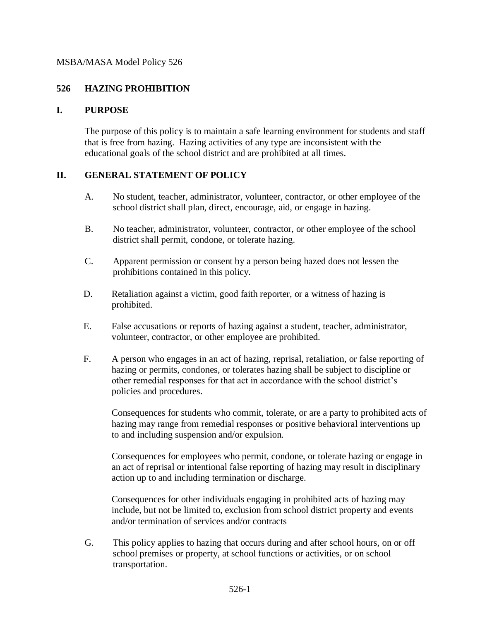## **526 HAZING PROHIBITION**

### **I. PURPOSE**

The purpose of this policy is to maintain a safe learning environment for students and staff that is free from hazing. Hazing activities of any type are inconsistent with the educational goals of the school district and are prohibited at all times.

### **II. GENERAL STATEMENT OF POLICY**

- A. No student, teacher, administrator, volunteer, contractor, or other employee of the school district shall plan, direct, encourage, aid, or engage in hazing.
- B. No teacher, administrator, volunteer, contractor, or other employee of the school district shall permit, condone, or tolerate hazing.
- C. Apparent permission or consent by a person being hazed does not lessen the prohibitions contained in this policy.
- D. Retaliation against a victim, good faith reporter, or a witness of hazing is prohibited.
- E. False accusations or reports of hazing against a student, teacher, administrator, volunteer, contractor, or other employee are prohibited.
- F. A person who engages in an act of hazing, reprisal, retaliation, or false reporting of hazing or permits, condones, or tolerates hazing shall be subject to discipline or other remedial responses for that act in accordance with the school district's policies and procedures.

Consequences for students who commit, tolerate, or are a party to prohibited acts of hazing may range from remedial responses or positive behavioral interventions up to and including suspension and/or expulsion.

Consequences for employees who permit, condone, or tolerate hazing or engage in an act of reprisal or intentional false reporting of hazing may result in disciplinary action up to and including termination or discharge.

Consequences for other individuals engaging in prohibited acts of hazing may include, but not be limited to, exclusion from school district property and events and/or termination of services and/or contracts

G. This policy applies to hazing that occurs during and after school hours, on or off school premises or property, at school functions or activities, or on school transportation.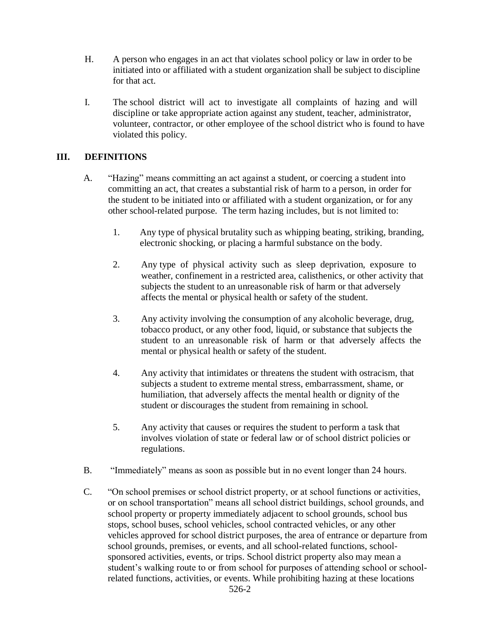- H. A person who engages in an act that violates school policy or law in order to be initiated into or affiliated with a student organization shall be subject to discipline for that act.
- I. The school district will act to investigate all complaints of hazing and will discipline or take appropriate action against any student, teacher, administrator, volunteer, contractor, or other employee of the school district who is found to have violated this policy.

### **III. DEFINITIONS**

- A. "Hazing" means committing an act against a student, or coercing a student into committing an act, that creates a substantial risk of harm to a person, in order for the student to be initiated into or affiliated with a student organization, or for any other school-related purpose. The term hazing includes, but is not limited to:
	- 1. Any type of physical brutality such as whipping beating, striking, branding, electronic shocking, or placing a harmful substance on the body.
	- 2. Any type of physical activity such as sleep deprivation, exposure to weather, confinement in a restricted area, calisthenics, or other activity that subjects the student to an unreasonable risk of harm or that adversely affects the mental or physical health or safety of the student.
	- 3. Any activity involving the consumption of any alcoholic beverage, drug, tobacco product, or any other food, liquid, or substance that subjects the student to an unreasonable risk of harm or that adversely affects the mental or physical health or safety of the student.
	- 4. Any activity that intimidates or threatens the student with ostracism, that subjects a student to extreme mental stress, embarrassment, shame, or humiliation, that adversely affects the mental health or dignity of the student or discourages the student from remaining in school.
	- 5. Any activity that causes or requires the student to perform a task that involves violation of state or federal law or of school district policies or regulations.
- B. "Immediately" means as soon as possible but in no event longer than 24 hours.
- C. "On school premises or school district property, or at school functions or activities, or on school transportation" means all school district buildings, school grounds, and school property or property immediately adjacent to school grounds, school bus stops, school buses, school vehicles, school contracted vehicles, or any other vehicles approved for school district purposes, the area of entrance or departure from school grounds, premises, or events, and all school-related functions, schoolsponsored activities, events, or trips. School district property also may mean a student's walking route to or from school for purposes of attending school or schoolrelated functions, activities, or events. While prohibiting hazing at these locations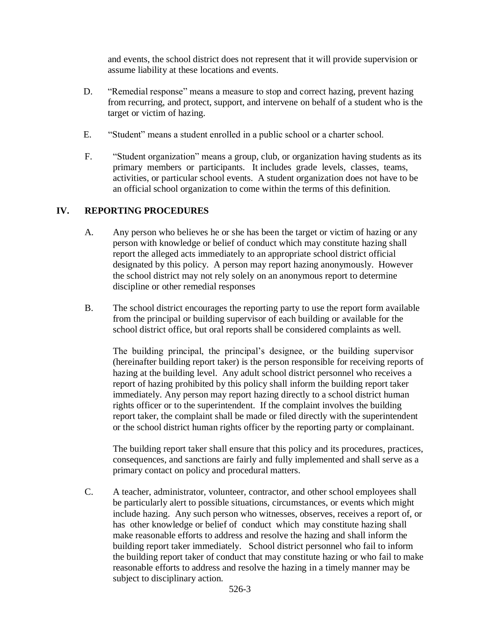and events, the school district does not represent that it will provide supervision or assume liability at these locations and events.

- D. "Remedial response" means a measure to stop and correct hazing, prevent hazing from recurring, and protect, support, and intervene on behalf of a student who is the target or victim of hazing.
- E. "Student" means a student enrolled in a public school or a charter school.
- F. "Student organization" means a group, club, or organization having students as its primary members or participants. It includes grade levels, classes, teams, activities, or particular school events. A student organization does not have to be an official school organization to come within the terms of this definition.

### **IV. REPORTING PROCEDURES**

- A. Any person who believes he or she has been the target or victim of hazing or any person with knowledge or belief of conduct which may constitute hazing shall report the alleged acts immediately to an appropriate school district official designated by this policy. A person may report hazing anonymously. However the school district may not rely solely on an anonymous report to determine discipline or other remedial responses
- B. The school district encourages the reporting party to use the report form available from the principal or building supervisor of each building or available for the school district office, but oral reports shall be considered complaints as well.

The building principal, the principal's designee, or the building supervisor (hereinafter building report taker) is the person responsible for receiving reports of hazing at the building level. Any adult school district personnel who receives a report of hazing prohibited by this policy shall inform the building report taker immediately. Any person may report hazing directly to a school district human rights officer or to the superintendent. If the complaint involves the building report taker, the complaint shall be made or filed directly with the superintendent or the school district human rights officer by the reporting party or complainant.

The building report taker shall ensure that this policy and its procedures, practices, consequences, and sanctions are fairly and fully implemented and shall serve as a primary contact on policy and procedural matters.

C. A teacher, administrator, volunteer, contractor, and other school employees shall be particularly alert to possible situations, circumstances, or events which might include hazing. Any such person who witnesses, observes, receives a report of, or has other knowledge or belief of conduct which may constitute hazing shall make reasonable efforts to address and resolve the hazing and shall inform the building report taker immediately. School district personnel who fail to inform the building report taker of conduct that may constitute hazing or who fail to make reasonable efforts to address and resolve the hazing in a timely manner may be subject to disciplinary action.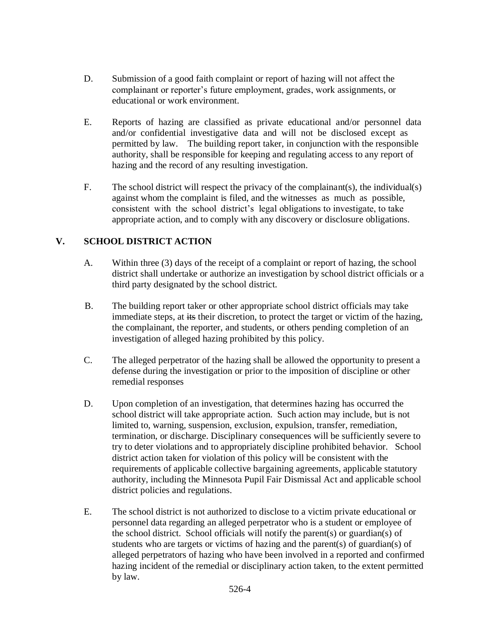- D. Submission of a good faith complaint or report of hazing will not affect the complainant or reporter's future employment, grades, work assignments, or educational or work environment.
- E. Reports of hazing are classified as private educational and/or personnel data and/or confidential investigative data and will not be disclosed except as permitted by law. The building report taker, in conjunction with the responsible authority, shall be responsible for keeping and regulating access to any report of hazing and the record of any resulting investigation.
- F. The school district will respect the privacy of the complainant(s), the individual(s) against whom the complaint is filed, and the witnesses as much as possible, consistent with the school district's legal obligations to investigate, to take appropriate action, and to comply with any discovery or disclosure obligations.

# **V. SCHOOL DISTRICT ACTION**

- A. Within three (3) days of the receipt of a complaint or report of hazing, the school district shall undertake or authorize an investigation by school district officials or a third party designated by the school district.
- B. The building report taker or other appropriate school district officials may take immediate steps, at its their discretion, to protect the target or victim of the hazing, the complainant, the reporter, and students, or others pending completion of an investigation of alleged hazing prohibited by this policy.
- C. The alleged perpetrator of the hazing shall be allowed the opportunity to present a defense during the investigation or prior to the imposition of discipline or other remedial responses
- D. Upon completion of an investigation, that determines hazing has occurred the school district will take appropriate action. Such action may include, but is not limited to, warning, suspension, exclusion, expulsion, transfer, remediation, termination, or discharge. Disciplinary consequences will be sufficiently severe to try to deter violations and to appropriately discipline prohibited behavior. School district action taken for violation of this policy will be consistent with the requirements of applicable collective bargaining agreements, applicable statutory authority, including the Minnesota Pupil Fair Dismissal Act and applicable school district policies and regulations.
- E. The school district is not authorized to disclose to a victim private educational or personnel data regarding an alleged perpetrator who is a student or employee of the school district. School officials will notify the parent(s) or guardian(s) of students who are targets or victims of hazing and the parent(s) of guardian(s) of alleged perpetrators of hazing who have been involved in a reported and confirmed hazing incident of the remedial or disciplinary action taken, to the extent permitted by law.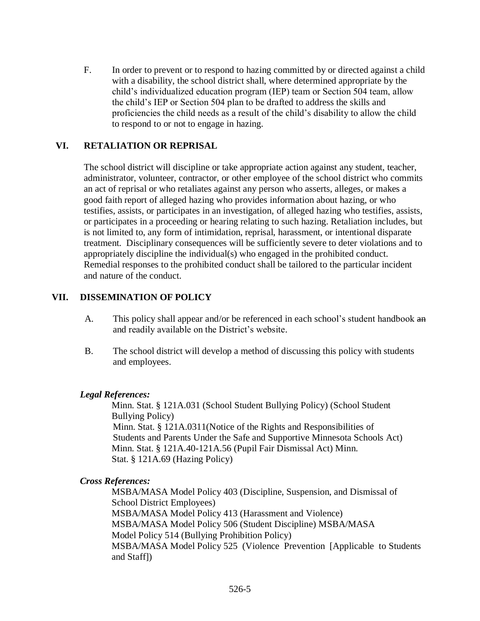F. In order to prevent or to respond to hazing committed by or directed against a child with a disability, the school district shall, where determined appropriate by the child's individualized education program (IEP) team or Section 504 team, allow the child's IEP or Section 504 plan to be drafted to address the skills and proficiencies the child needs as a result of the child's disability to allow the child to respond to or not to engage in hazing.

# **VI. RETALIATION OR REPRISAL**

The school district will discipline or take appropriate action against any student, teacher, administrator, volunteer, contractor, or other employee of the school district who commits an act of reprisal or who retaliates against any person who asserts, alleges, or makes a good faith report of alleged hazing who provides information about hazing, or who testifies, assists, or participates in an investigation, of alleged hazing who testifies, assists, or participates in a proceeding or hearing relating to such hazing. Retaliation includes, but is not limited to, any form of intimidation, reprisal, harassment, or intentional disparate treatment. Disciplinary consequences will be sufficiently severe to deter violations and to appropriately discipline the individual(s) who engaged in the prohibited conduct. Remedial responses to the prohibited conduct shall be tailored to the particular incident and nature of the conduct.

# **VII. DISSEMINATION OF POLICY**

- A. This policy shall appear and/or be referenced in each school's student handbook an and readily available on the District's website.
- B. The school district will develop a method of discussing this policy with students and employees.

# *Legal References:*

Minn. Stat. § 121A.031 (School Student Bullying Policy) (School Student Bullying Policy) Minn. Stat. § 121A.0311(Notice of the Rights and Responsibilities of Students and Parents Under the Safe and Supportive Minnesota Schools Act) Minn. Stat. § 121A.40-121A.56 (Pupil Fair Dismissal Act) Minn. Stat. § 121A.69 (Hazing Policy)

# *Cross References:*

MSBA/MASA Model Policy 403 (Discipline, Suspension, and Dismissal of School District Employees) MSBA/MASA Model Policy 413 (Harassment and Violence) MSBA/MASA Model Policy 506 (Student Discipline) MSBA/MASA Model Policy 514 (Bullying Prohibition Policy) MSBA/MASA Model Policy 525 (Violence Prevention [Applicable to Students and Staff])